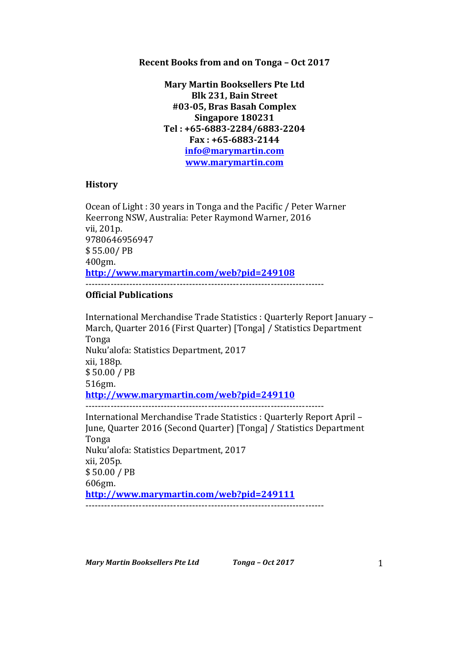## **Recent Books from and on Tonga - Oct 2017**

**Mary Martin Booksellers Pte Ltd Blk 231, Bain Street #03-05, Bras Basah Complex Singapore 180231 Tel : +65-6883-2284/6883-2204 Fax : +65-6883-2144 info@marymartin.com www.marymartin.com**

## **History**

Ocean of Light : 30 years in Tonga and the Pacific / Peter Warner Keerrong NSW, Australia: Peter Raymond Warner, 2016 vii, 201p. 9780646956947 \$ 55.00/ PB 400gm. **http://www.marymartin.com/web?pid=249108** ----------------------------------------------------------------------------

## **Official Publications**

International Merchandise Trade Statistics : Quarterly Report January -March, Quarter 2016 (First Quarter) [Tonga] / Statistics Department Tonga Nuku'alofa: Statistics Department, 2017 xii, 188p. \$ 50.00 / PB 516gm. **http://www.marymartin.com/web?pid=249110** ---------------------------------------------------------------------------- International Merchandise Trade Statistics : Quarterly Report April -June, Quarter 2016 (Second Quarter) [Tonga] / Statistics Department Tonga Nuku'alofa: Statistics Department, 2017 xii, 205p. \$ 50.00 / PB 606gm. **http://www.marymartin.com/web?pid=249111** ----------------------------------------------------------------------------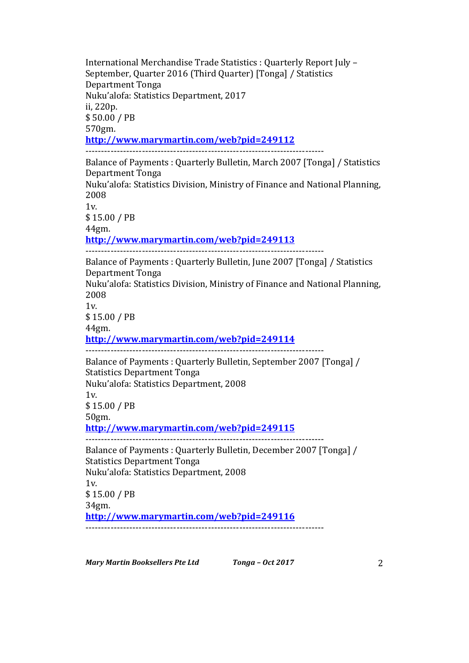International Merchandise Trade Statistics : Quarterly Report July -September, Quarter 2016 (Third Quarter) [Tonga] / Statistics Department Tonga Nuku'alofa: Statistics Department, 2017 ii, 220p. \$ 50.00 / PB 570gm. **http://www.marymartin.com/web?pid=249112** ---------------------------------------------------------------------------- Balance of Payments : Quarterly Bulletin, March 2007 [Tonga] / Statistics Department Tonga Nuku'alofa: Statistics Division, Ministry of Finance and National Planning, 2008  $1v<sub>l</sub>$ \$ 15.00 / PB 44gm. **http://www.marymartin.com/web?pid=249113** ---------------------------------------------------------------------------- Balance of Payments : Quarterly Bulletin, June 2007 [Tonga] / Statistics Department Tonga Nuku'alofa: Statistics Division, Ministry of Finance and National Planning, 2008 1v. \$ 15.00 / PB 44gm. **http://www.marymartin.com/web?pid=249114** ---------------------------------------------------------------------------- Balance of Payments: Quarterly Bulletin, September 2007 [Tonga] / Statistics Department Tonga Nuku'alofa: Statistics Department, 2008 1v. \$ 15.00 / PB 50gm. **http://www.marymartin.com/web?pid=249115** ---------------------------------------------------------------------------- Balance of Payments : Quarterly Bulletin, December 2007 [Tonga] / Statistics Department Tonga Nuku'alofa: Statistics Department, 2008 1v. \$ 15.00 / PB 34gm. **http://www.marymartin.com/web?pid=249116**

----------------------------------------------------------------------------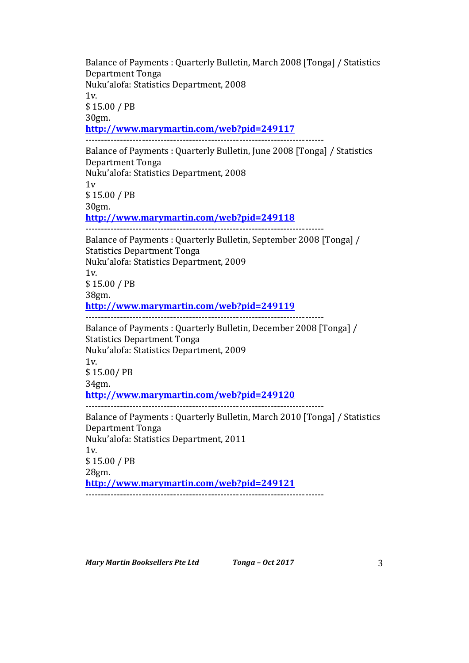Balance of Payments : Quarterly Bulletin, March 2008 [Tonga] / Statistics Department Tonga Nuku'alofa: Statistics Department, 2008  $1v$ \$ 15.00 / PB 30gm. **http://www.marymartin.com/web?pid=249117** ---------------------------------------------------------------------------- Balance of Payments : Quarterly Bulletin, June 2008 [Tonga] / Statistics Department Tonga Nuku'alofa: Statistics Department, 2008 1v \$ 15.00 / PB 30gm. **http://www.marymartin.com/web?pid=249118** ---------------------------------------------------------------------------- Balance of Payments : Quarterly Bulletin, September 2008 [Tonga] / Statistics Department Tonga Nuku'alofa: Statistics Department, 2009  $1v.$ \$ 15.00 / PB 38gm. **http://www.marymartin.com/web?pid=249119** ---------------------------------------------------------------------------- Balance of Payments : Quarterly Bulletin, December 2008 [Tonga] / Statistics Department Tonga Nuku'alofa: Statistics Department, 2009 1v. \$ 15.00/ PB 34gm. **http://www.marymartin.com/web?pid=249120** ---------------------------------------------------------------------------- Balance of Payments : Quarterly Bulletin, March 2010 [Tonga] / Statistics Department Tonga Nuku'alofa: Statistics Department, 2011 1v. \$ 15.00 / PB 28gm. **http://www.marymartin.com/web?pid=249121** ----------------------------------------------------------------------------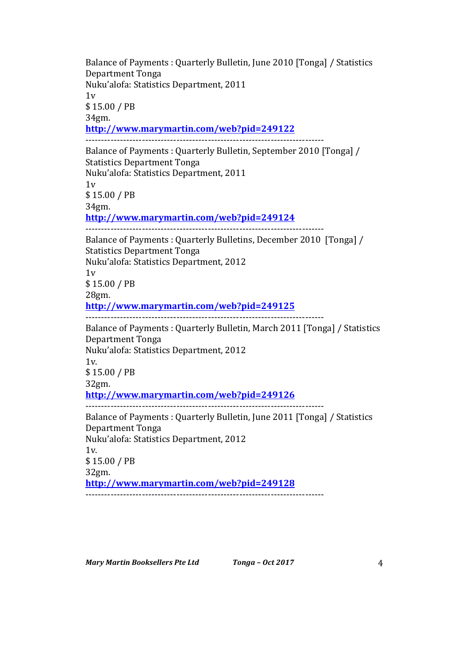Balance of Payments : Quarterly Bulletin, June 2010 [Tonga] / Statistics Department Tonga Nuku'alofa: Statistics Department, 2011  $1v$ \$ 15.00 / PB 34gm. **http://www.marymartin.com/web?pid=249122** ---------------------------------------------------------------------------- Balance of Payments : Quarterly Bulletin, September 2010 [Tonga] / Statistics Department Tonga Nuku'alofa: Statistics Department, 2011  $1v$ \$ 15.00 / PB 34gm. **http://www.marymartin.com/web?pid=249124** ---------------------------------------------------------------------------- Balance of Payments : Quarterly Bulletins, December 2010 [Tonga] / Statistics Department Tonga Nuku'alofa: Statistics Department, 2012  $1v$ \$ 15.00 / PB 28gm. **http://www.marymartin.com/web?pid=249125** ---------------------------------------------------------------------------- Balance of Payments : Quarterly Bulletin, March 2011 [Tonga] / Statistics Department Tonga Nuku'alofa: Statistics Department, 2012 1v. \$ 15.00 / PB 32gm. **http://www.marymartin.com/web?pid=249126** ---------------------------------------------------------------------------- Balance of Payments : Quarterly Bulletin, June 2011 [Tonga] / Statistics Department Tonga Nuku'alofa: Statistics Department, 2012 1v. \$ 15.00 / PB 32gm. **http://www.marymartin.com/web?pid=249128** ----------------------------------------------------------------------------